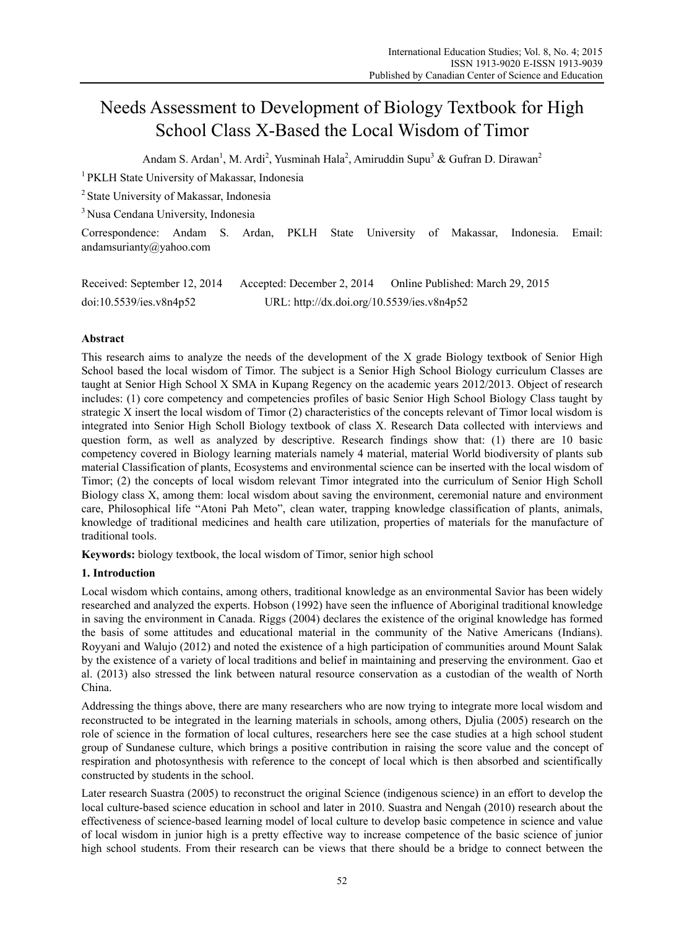# Needs Assessment to Development of Biology Textbook for High School Class X-Based the Local Wisdom of Timor

Andam S. Ardan<sup>1</sup>, M. Ardi<sup>2</sup>, Yusminah Hala<sup>2</sup>, Amiruddin Supu<sup>3</sup> & Gufran D. Dirawan<sup>2</sup>

<sup>1</sup> PKLH State University of Makassar, Indonesia

2 State University of Makassar, Indonesia

<sup>3</sup> Nusa Cendana University, Indonesia

Correspondence: Andam S. Ardan, PKLH State University of Makassar, Indonesia. Email: andamsurianty@yahoo.com

| Received: September 12, 2014 | Accepted: December 2, 2014                 | Online Published: March 29, 2015 |
|------------------------------|--------------------------------------------|----------------------------------|
| doi:10.5539/ies.v8n4p52      | URL: http://dx.doi.org/10.5539/ies.v8n4p52 |                                  |

## **Abstract**

This research aims to analyze the needs of the development of the X grade Biology textbook of Senior High School based the local wisdom of Timor. The subject is a Senior High School Biology curriculum Classes are taught at Senior High School X SMA in Kupang Regency on the academic years 2012/2013. Object of research includes: (1) core competency and competencies profiles of basic Senior High School Biology Class taught by strategic X insert the local wisdom of Timor (2) characteristics of the concepts relevant of Timor local wisdom is integrated into Senior High Scholl Biology textbook of class X. Research Data collected with interviews and question form, as well as analyzed by descriptive. Research findings show that: (1) there are 10 basic competency covered in Biology learning materials namely 4 material, material World biodiversity of plants sub material Classification of plants, Ecosystems and environmental science can be inserted with the local wisdom of Timor; (2) the concepts of local wisdom relevant Timor integrated into the curriculum of Senior High Scholl Biology class X, among them: local wisdom about saving the environment, ceremonial nature and environment care, Philosophical life "Atoni Pah Meto", clean water, trapping knowledge classification of plants, animals, knowledge of traditional medicines and health care utilization, properties of materials for the manufacture of traditional tools.

**Keywords:** biology textbook, the local wisdom of Timor, senior high school

#### **1. Introduction**

Local wisdom which contains, among others, traditional knowledge as an environmental Savior has been widely researched and analyzed the experts. Hobson (1992) have seen the influence of Aboriginal traditional knowledge in saving the environment in Canada. Riggs (2004) declares the existence of the original knowledge has formed the basis of some attitudes and educational material in the community of the Native Americans (Indians). Royyani and Walujo (2012) and noted the existence of a high participation of communities around Mount Salak by the existence of a variety of local traditions and belief in maintaining and preserving the environment. Gao et al. (2013) also stressed the link between natural resource conservation as a custodian of the wealth of North China.

Addressing the things above, there are many researchers who are now trying to integrate more local wisdom and reconstructed to be integrated in the learning materials in schools, among others, Djulia (2005) research on the role of science in the formation of local cultures, researchers here see the case studies at a high school student group of Sundanese culture, which brings a positive contribution in raising the score value and the concept of respiration and photosynthesis with reference to the concept of local which is then absorbed and scientifically constructed by students in the school.

Later research Suastra (2005) to reconstruct the original Science (indigenous science) in an effort to develop the local culture-based science education in school and later in 2010. Suastra and Nengah (2010) research about the effectiveness of science-based learning model of local culture to develop basic competence in science and value of local wisdom in junior high is a pretty effective way to increase competence of the basic science of junior high school students. From their research can be views that there should be a bridge to connect between the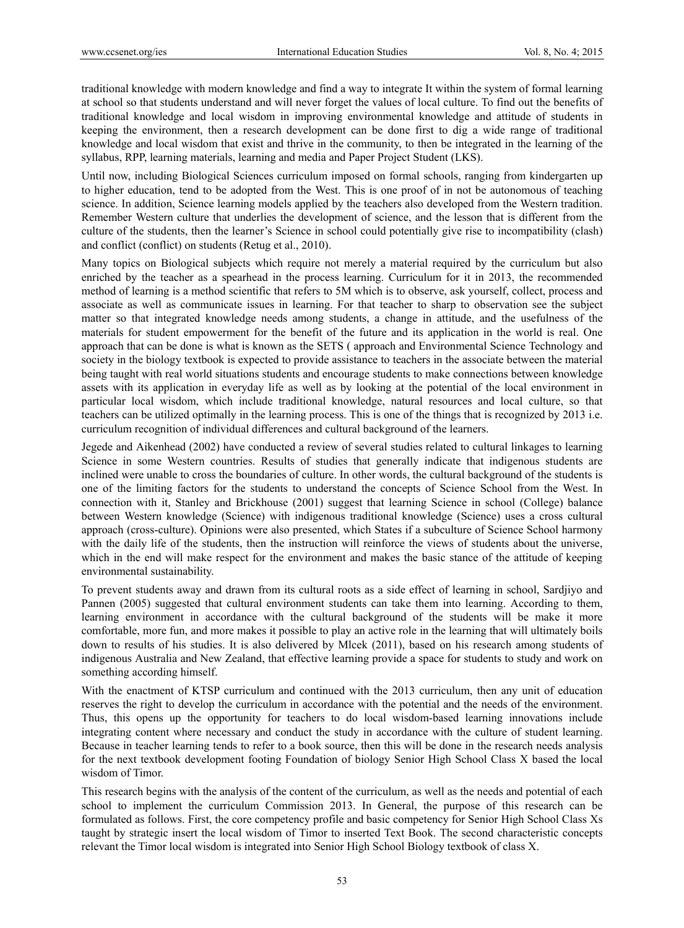traditional knowledge with modern knowledge and find a way to integrate It within the system of formal learning at school so that students understand and will never forget the values of local culture. To find out the benefits of traditional knowledge and local wisdom in improving environmental knowledge and attitude of students in keeping the environment, then a research development can be done first to dig a wide range of traditional knowledge and local wisdom that exist and thrive in the community, to then be integrated in the learning of the syllabus, RPP, learning materials, learning and media and Paper Project Student (LKS).

Until now, including Biological Sciences curriculum imposed on formal schools, ranging from kindergarten up to higher education, tend to be adopted from the West. This is one proof of in not be autonomous of teaching science. In addition, Science learning models applied by the teachers also developed from the Western tradition. Remember Western culture that underlies the development of science, and the lesson that is different from the culture of the students, then the learner's Science in school could potentially give rise to incompatibility (clash) and conflict (conflict) on students (Retug et al., 2010).

Many topics on Biological subjects which require not merely a material required by the curriculum but also enriched by the teacher as a spearhead in the process learning. Curriculum for it in 2013, the recommended method of learning is a method scientific that refers to 5M which is to observe, ask yourself, collect, process and associate as well as communicate issues in learning. For that teacher to sharp to observation see the subject matter so that integrated knowledge needs among students, a change in attitude, and the usefulness of the materials for student empowerment for the benefit of the future and its application in the world is real. One approach that can be done is what is known as the SETS ( approach and Environmental Science Technology and society in the biology textbook is expected to provide assistance to teachers in the associate between the material being taught with real world situations students and encourage students to make connections between knowledge assets with its application in everyday life as well as by looking at the potential of the local environment in particular local wisdom, which include traditional knowledge, natural resources and local culture, so that teachers can be utilized optimally in the learning process. This is one of the things that is recognized by 2013 i.e. curriculum recognition of individual differences and cultural background of the learners.

Jegede and Aikenhead (2002) have conducted a review of several studies related to cultural linkages to learning Science in some Western countries. Results of studies that generally indicate that indigenous students are inclined were unable to cross the boundaries of culture. In other words, the cultural background of the students is one of the limiting factors for the students to understand the concepts of Science School from the West. In connection with it, Stanley and Brickhouse (2001) suggest that learning Science in school (College) balance between Western knowledge (Science) with indigenous traditional knowledge (Science) uses a cross cultural approach (cross-culture). Opinions were also presented, which States if a subculture of Science School harmony with the daily life of the students, then the instruction will reinforce the views of students about the universe, which in the end will make respect for the environment and makes the basic stance of the attitude of keeping environmental sustainability.

To prevent students away and drawn from its cultural roots as a side effect of learning in school, Sardjiyo and Pannen (2005) suggested that cultural environment students can take them into learning. According to them, learning environment in accordance with the cultural background of the students will be make it more comfortable, more fun, and more makes it possible to play an active role in the learning that will ultimately boils down to results of his studies. It is also delivered by Mlcek (2011), based on his research among students of indigenous Australia and New Zealand, that effective learning provide a space for students to study and work on something according himself.

With the enactment of KTSP curriculum and continued with the 2013 curriculum, then any unit of education reserves the right to develop the curriculum in accordance with the potential and the needs of the environment. Thus, this opens up the opportunity for teachers to do local wisdom-based learning innovations include integrating content where necessary and conduct the study in accordance with the culture of student learning. Because in teacher learning tends to refer to a book source, then this will be done in the research needs analysis for the next textbook development footing Foundation of biology Senior High School Class X based the local wisdom of Timor.

This research begins with the analysis of the content of the curriculum, as well as the needs and potential of each school to implement the curriculum Commission 2013. In General, the purpose of this research can be formulated as follows. First, the core competency profile and basic competency for Senior High School Class Xs taught by strategic insert the local wisdom of Timor to inserted Text Book. The second characteristic concepts relevant the Timor local wisdom is integrated into Senior High School Biology textbook of class X.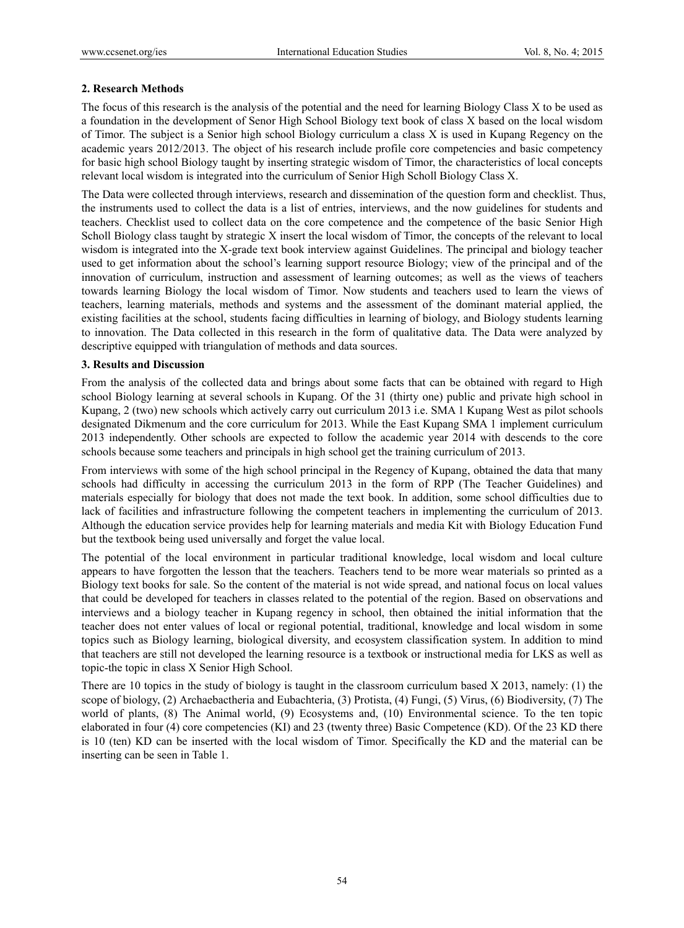### **2. Research Methods**

The focus of this research is the analysis of the potential and the need for learning Biology Class X to be used as a foundation in the development of Senor High School Biology text book of class X based on the local wisdom of Timor. The subject is a Senior high school Biology curriculum a class X is used in Kupang Regency on the academic years 2012/2013. The object of his research include profile core competencies and basic competency for basic high school Biology taught by inserting strategic wisdom of Timor, the characteristics of local concepts relevant local wisdom is integrated into the curriculum of Senior High Scholl Biology Class X.

The Data were collected through interviews, research and dissemination of the question form and checklist. Thus, the instruments used to collect the data is a list of entries, interviews, and the now guidelines for students and teachers. Checklist used to collect data on the core competence and the competence of the basic Senior High Scholl Biology class taught by strategic X insert the local wisdom of Timor, the concepts of the relevant to local wisdom is integrated into the X-grade text book interview against Guidelines. The principal and biology teacher used to get information about the school's learning support resource Biology; view of the principal and of the innovation of curriculum, instruction and assessment of learning outcomes; as well as the views of teachers towards learning Biology the local wisdom of Timor. Now students and teachers used to learn the views of teachers, learning materials, methods and systems and the assessment of the dominant material applied, the existing facilities at the school, students facing difficulties in learning of biology, and Biology students learning to innovation. The Data collected in this research in the form of qualitative data. The Data were analyzed by descriptive equipped with triangulation of methods and data sources.

#### **3. Results and Discussion**

From the analysis of the collected data and brings about some facts that can be obtained with regard to High school Biology learning at several schools in Kupang. Of the 31 (thirty one) public and private high school in Kupang, 2 (two) new schools which actively carry out curriculum 2013 i.e. SMA 1 Kupang West as pilot schools designated Dikmenum and the core curriculum for 2013. While the East Kupang SMA 1 implement curriculum 2013 independently. Other schools are expected to follow the academic year 2014 with descends to the core schools because some teachers and principals in high school get the training curriculum of 2013.

From interviews with some of the high school principal in the Regency of Kupang, obtained the data that many schools had difficulty in accessing the curriculum 2013 in the form of RPP (The Teacher Guidelines) and materials especially for biology that does not made the text book. In addition, some school difficulties due to lack of facilities and infrastructure following the competent teachers in implementing the curriculum of 2013. Although the education service provides help for learning materials and media Kit with Biology Education Fund but the textbook being used universally and forget the value local.

The potential of the local environment in particular traditional knowledge, local wisdom and local culture appears to have forgotten the lesson that the teachers. Teachers tend to be more wear materials so printed as a Biology text books for sale. So the content of the material is not wide spread, and national focus on local values that could be developed for teachers in classes related to the potential of the region. Based on observations and interviews and a biology teacher in Kupang regency in school, then obtained the initial information that the teacher does not enter values of local or regional potential, traditional, knowledge and local wisdom in some topics such as Biology learning, biological diversity, and ecosystem classification system. In addition to mind that teachers are still not developed the learning resource is a textbook or instructional media for LKS as well as topic-the topic in class X Senior High School.

There are 10 topics in the study of biology is taught in the classroom curriculum based X 2013, namely: (1) the scope of biology, (2) Archaebactheria and Eubachteria, (3) Protista, (4) Fungi, (5) Virus, (6) Biodiversity, (7) The world of plants, (8) The Animal world, (9) Ecosystems and, (10) Environmental science. To the ten topic elaborated in four (4) core competencies (KI) and 23 (twenty three) Basic Competence (KD). Of the 23 KD there is 10 (ten) KD can be inserted with the local wisdom of Timor. Specifically the KD and the material can be inserting can be seen in Table 1.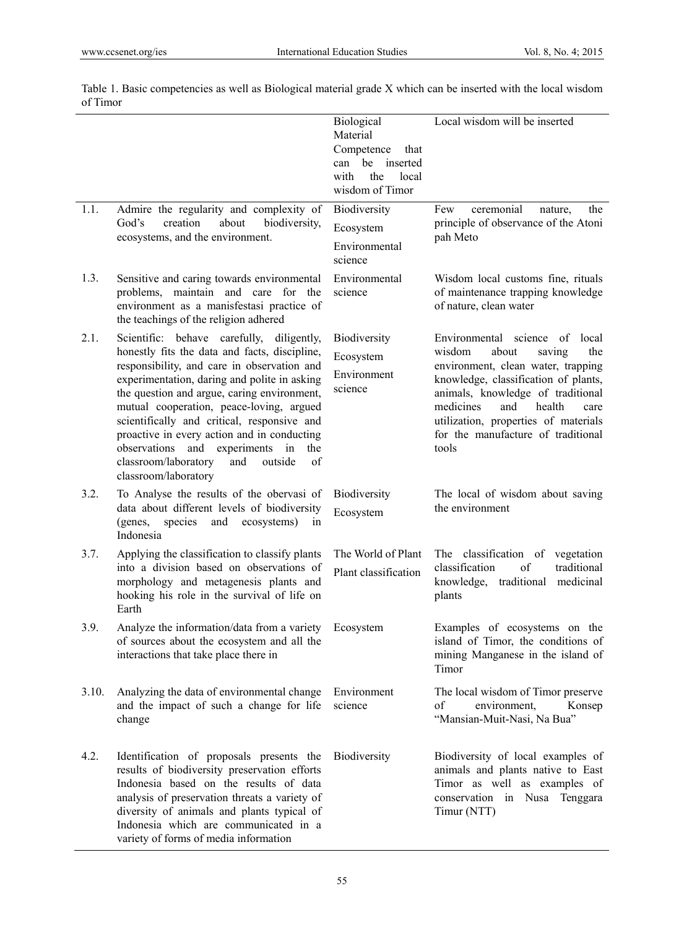|       |                                                                                                                                                                                                                                                                                                                                                                                                                                                                                                            | Biological<br>Material<br>Competence<br>that<br>can be inserted<br>with<br>the<br>local<br>wisdom of Timor | Local wisdom will be inserted                                                                                                                                                                                                                                                                                            |
|-------|------------------------------------------------------------------------------------------------------------------------------------------------------------------------------------------------------------------------------------------------------------------------------------------------------------------------------------------------------------------------------------------------------------------------------------------------------------------------------------------------------------|------------------------------------------------------------------------------------------------------------|--------------------------------------------------------------------------------------------------------------------------------------------------------------------------------------------------------------------------------------------------------------------------------------------------------------------------|
| 1.1.  | Admire the regularity and complexity of<br>God's<br>creation<br>about<br>biodiversity,<br>ecosystems, and the environment.                                                                                                                                                                                                                                                                                                                                                                                 | Biodiversity<br>Ecosystem<br>Environmental<br>science                                                      | ceremonial<br>Few<br>the<br>nature,<br>principle of observance of the Atoni<br>pah Meto                                                                                                                                                                                                                                  |
| 1.3.  | Sensitive and caring towards environmental<br>problems, maintain and care for the<br>environment as a manisfestasi practice of<br>the teachings of the religion adhered                                                                                                                                                                                                                                                                                                                                    | Environmental<br>science                                                                                   | Wisdom local customs fine, rituals<br>of maintenance trapping knowledge<br>of nature, clean water                                                                                                                                                                                                                        |
| 2.1.  | Scientific: behave carefully,<br>diligently,<br>honestly fits the data and facts, discipline,<br>responsibility, and care in observation and<br>experimentation, daring and polite in asking<br>the question and argue, caring environment,<br>mutual cooperation, peace-loving, argued<br>scientifically and critical, responsive and<br>proactive in every action and in conducting<br>observations and experiments<br>in<br>the<br>classroom/laboratory<br>of<br>and<br>outside<br>classroom/laboratory | Biodiversity<br>Ecosystem<br>Environment<br>science                                                        | Environmental science<br>of<br>local<br>wisdom<br>about<br>saving<br>the<br>environment, clean water, trapping<br>knowledge, classification of plants,<br>animals, knowledge of traditional<br>medicines<br>and<br>health<br>care<br>utilization, properties of materials<br>for the manufacture of traditional<br>tools |
| 3.2.  | To Analyse the results of the obervasi of<br>data about different levels of biodiversity<br>(genes,<br>and ecosystems)<br>species<br>in<br>Indonesia                                                                                                                                                                                                                                                                                                                                                       | Biodiversity<br>Ecosystem                                                                                  | The local of wisdom about saving<br>the environment                                                                                                                                                                                                                                                                      |
| 3.7.  | Applying the classification to classify plants<br>into a division based on observations of<br>morphology and metagenesis plants and<br>hooking his role in the survival of life on<br>Earth                                                                                                                                                                                                                                                                                                                | The World of Plant<br>Plant classification                                                                 | The classification of vegetation<br>classification<br>traditional<br>of<br>traditional<br>knowledge,<br>medicinal<br>plants                                                                                                                                                                                              |
| 3.9.  | Analyze the information/data from a variety<br>of sources about the ecosystem and all the<br>interactions that take place there in                                                                                                                                                                                                                                                                                                                                                                         | Ecosystem                                                                                                  | Examples of ecosystems on the<br>island of Timor, the conditions of<br>mining Manganese in the island of<br>Timor                                                                                                                                                                                                        |
| 3.10. | Analyzing the data of environmental change<br>and the impact of such a change for life<br>change                                                                                                                                                                                                                                                                                                                                                                                                           | Environment<br>science                                                                                     | The local wisdom of Timor preserve<br>environment,<br>of<br>Konsep<br>"Mansian-Muit-Nasi, Na Bua"                                                                                                                                                                                                                        |
| 4.2.  | Identification of proposals presents the<br>results of biodiversity preservation efforts<br>Indonesia based on the results of data<br>analysis of preservation threats a variety of<br>diversity of animals and plants typical of<br>Indonesia which are communicated in a<br>variety of forms of media information                                                                                                                                                                                        | Biodiversity                                                                                               | Biodiversity of local examples of<br>animals and plants native to East<br>Timor as well as examples of<br>conservation in Nusa Tenggara<br>Timur (NTT)                                                                                                                                                                   |

Table 1. Basic competencies as well as Biological material grade X which can be inserted with the local wisdom of Timor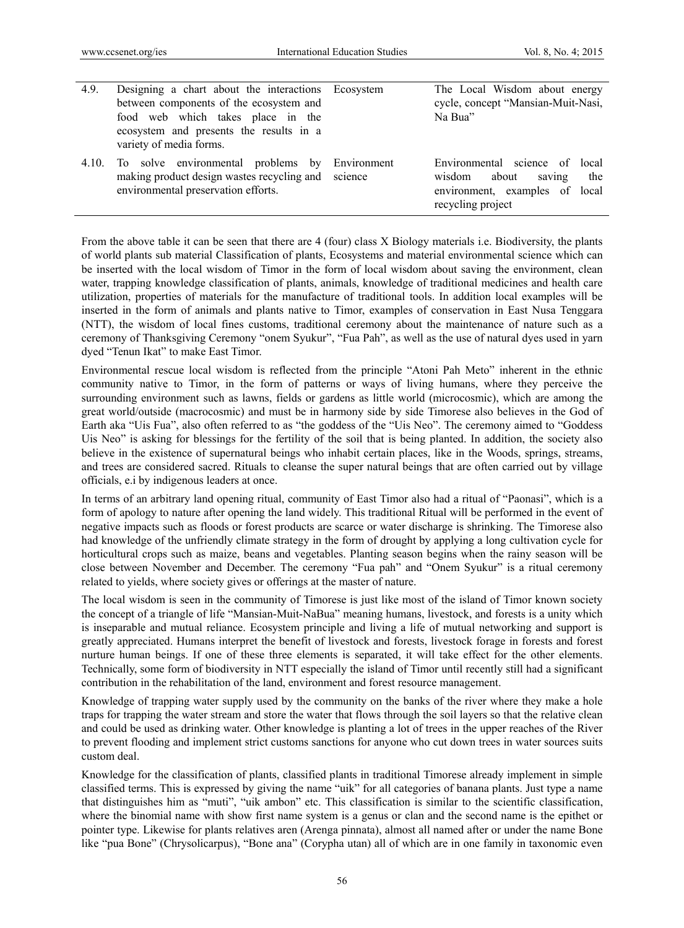| 4.9.  | Designing a chart about the interactions Ecosystem<br>between components of the ecosystem and<br>food web which takes place in the<br>ecosystem and presents the results in a<br>variety of media forms. |             | The Local Wisdom about energy<br>cycle, concept "Mansian-Muit-Nasi,<br>Na Bua"                                            |
|-------|----------------------------------------------------------------------------------------------------------------------------------------------------------------------------------------------------------|-------------|---------------------------------------------------------------------------------------------------------------------------|
| 4.10. | To solve environmental problems by<br>making product design wastes recycling and science<br>environmental preservation efforts.                                                                          | Environment | Environmental science of local<br>saving<br>about<br>the<br>wisdom<br>environment, examples of local<br>recycling project |

From the above table it can be seen that there are 4 (four) class X Biology materials i.e. Biodiversity, the plants of world plants sub material Classification of plants, Ecosystems and material environmental science which can be inserted with the local wisdom of Timor in the form of local wisdom about saving the environment, clean water, trapping knowledge classification of plants, animals, knowledge of traditional medicines and health care utilization, properties of materials for the manufacture of traditional tools. In addition local examples will be inserted in the form of animals and plants native to Timor, examples of conservation in East Nusa Tenggara (NTT), the wisdom of local fines customs, traditional ceremony about the maintenance of nature such as a ceremony of Thanksgiving Ceremony "onem Syukur", "Fua Pah", as well as the use of natural dyes used in yarn dyed "Tenun Ikat" to make East Timor.

Environmental rescue local wisdom is reflected from the principle "Atoni Pah Meto" inherent in the ethnic community native to Timor, in the form of patterns or ways of living humans, where they perceive the surrounding environment such as lawns, fields or gardens as little world (microcosmic), which are among the great world/outside (macrocosmic) and must be in harmony side by side Timorese also believes in the God of Earth aka "Uis Fua", also often referred to as "the goddess of the "Uis Neo". The ceremony aimed to "Goddess Uis Neo" is asking for blessings for the fertility of the soil that is being planted. In addition, the society also believe in the existence of supernatural beings who inhabit certain places, like in the Woods, springs, streams, and trees are considered sacred. Rituals to cleanse the super natural beings that are often carried out by village officials, e.i by indigenous leaders at once.

In terms of an arbitrary land opening ritual, community of East Timor also had a ritual of "Paonasi", which is a form of apology to nature after opening the land widely. This traditional Ritual will be performed in the event of negative impacts such as floods or forest products are scarce or water discharge is shrinking. The Timorese also had knowledge of the unfriendly climate strategy in the form of drought by applying a long cultivation cycle for horticultural crops such as maize, beans and vegetables. Planting season begins when the rainy season will be close between November and December. The ceremony "Fua pah" and "Onem Syukur" is a ritual ceremony related to yields, where society gives or offerings at the master of nature.

The local wisdom is seen in the community of Timorese is just like most of the island of Timor known society the concept of a triangle of life "Mansian-Muit-NaBua" meaning humans, livestock, and forests is a unity which is inseparable and mutual reliance. Ecosystem principle and living a life of mutual networking and support is greatly appreciated. Humans interpret the benefit of livestock and forests, livestock forage in forests and forest nurture human beings. If one of these three elements is separated, it will take effect for the other elements. Technically, some form of biodiversity in NTT especially the island of Timor until recently still had a significant contribution in the rehabilitation of the land, environment and forest resource management.

Knowledge of trapping water supply used by the community on the banks of the river where they make a hole traps for trapping the water stream and store the water that flows through the soil layers so that the relative clean and could be used as drinking water. Other knowledge is planting a lot of trees in the upper reaches of the River to prevent flooding and implement strict customs sanctions for anyone who cut down trees in water sources suits custom deal.

Knowledge for the classification of plants, classified plants in traditional Timorese already implement in simple classified terms. This is expressed by giving the name "uik" for all categories of banana plants. Just type a name that distinguishes him as "muti", "uik ambon" etc. This classification is similar to the scientific classification, where the binomial name with show first name system is a genus or clan and the second name is the epithet or pointer type. Likewise for plants relatives aren (Arenga pinnata), almost all named after or under the name Bone like "pua Bone" (Chrysolicarpus), "Bone ana" (Corypha utan) all of which are in one family in taxonomic even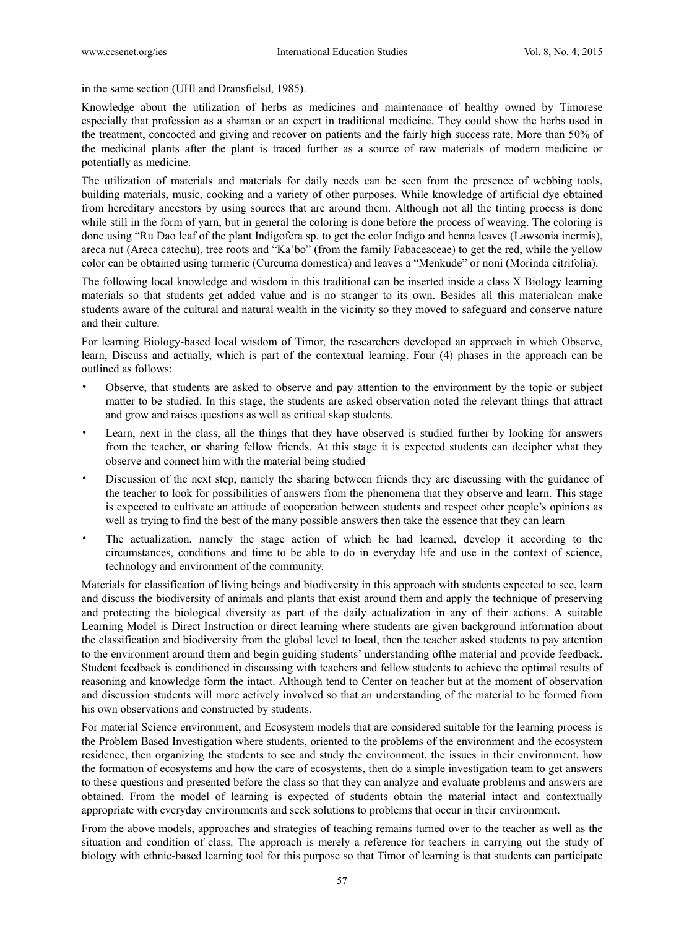in the same section (UHl and Dransfielsd, 1985).

Knowledge about the utilization of herbs as medicines and maintenance of healthy owned by Timorese especially that profession as a shaman or an expert in traditional medicine. They could show the herbs used in the treatment, concocted and giving and recover on patients and the fairly high success rate. More than 50% of the medicinal plants after the plant is traced further as a source of raw materials of modern medicine or potentially as medicine.

The utilization of materials and materials for daily needs can be seen from the presence of webbing tools, building materials, music, cooking and a variety of other purposes. While knowledge of artificial dye obtained from hereditary ancestors by using sources that are around them. Although not all the tinting process is done while still in the form of yarn, but in general the coloring is done before the process of weaving. The coloring is done using "Ru Dao leaf of the plant Indigofera sp. to get the color Indigo and henna leaves (Lawsonia inermis), areca nut (Areca catechu), tree roots and "Ka'bo" (from the family Fabaceaceae) to get the red, while the yellow color can be obtained using turmeric (Curcuma domestica) and leaves a "Menkude" or noni (Morinda citrifolia).

The following local knowledge and wisdom in this traditional can be inserted inside a class X Biology learning materials so that students get added value and is no stranger to its own. Besides all this materialcan make students aware of the cultural and natural wealth in the vicinity so they moved to safeguard and conserve nature and their culture.

For learning Biology-based local wisdom of Timor, the researchers developed an approach in which Observe, learn, Discuss and actually, which is part of the contextual learning. Four (4) phases in the approach can be outlined as follows:

- Observe, that students are asked to observe and pay attention to the environment by the topic or subject matter to be studied. In this stage, the students are asked observation noted the relevant things that attract and grow and raises questions as well as critical skap students.
- Learn, next in the class, all the things that they have observed is studied further by looking for answers from the teacher, or sharing fellow friends. At this stage it is expected students can decipher what they observe and connect him with the material being studied
- Discussion of the next step, namely the sharing between friends they are discussing with the guidance of the teacher to look for possibilities of answers from the phenomena that they observe and learn. This stage is expected to cultivate an attitude of cooperation between students and respect other people's opinions as well as trying to find the best of the many possible answers then take the essence that they can learn
- The actualization, namely the stage action of which he had learned, develop it according to the circumstances, conditions and time to be able to do in everyday life and use in the context of science, technology and environment of the community.

Materials for classification of living beings and biodiversity in this approach with students expected to see, learn and discuss the biodiversity of animals and plants that exist around them and apply the technique of preserving and protecting the biological diversity as part of the daily actualization in any of their actions. A suitable Learning Model is Direct Instruction or direct learning where students are given background information about the classification and biodiversity from the global level to local, then the teacher asked students to pay attention to the environment around them and begin guiding students' understanding ofthe material and provide feedback. Student feedback is conditioned in discussing with teachers and fellow students to achieve the optimal results of reasoning and knowledge form the intact. Although tend to Center on teacher but at the moment of observation and discussion students will more actively involved so that an understanding of the material to be formed from his own observations and constructed by students.

For material Science environment, and Ecosystem models that are considered suitable for the learning process is the Problem Based Investigation where students, oriented to the problems of the environment and the ecosystem residence, then organizing the students to see and study the environment, the issues in their environment, how the formation of ecosystems and how the care of ecosystems, then do a simple investigation team to get answers to these questions and presented before the class so that they can analyze and evaluate problems and answers are obtained. From the model of learning is expected of students obtain the material intact and contextually appropriate with everyday environments and seek solutions to problems that occur in their environment.

From the above models, approaches and strategies of teaching remains turned over to the teacher as well as the situation and condition of class. The approach is merely a reference for teachers in carrying out the study of biology with ethnic-based learning tool for this purpose so that Timor of learning is that students can participate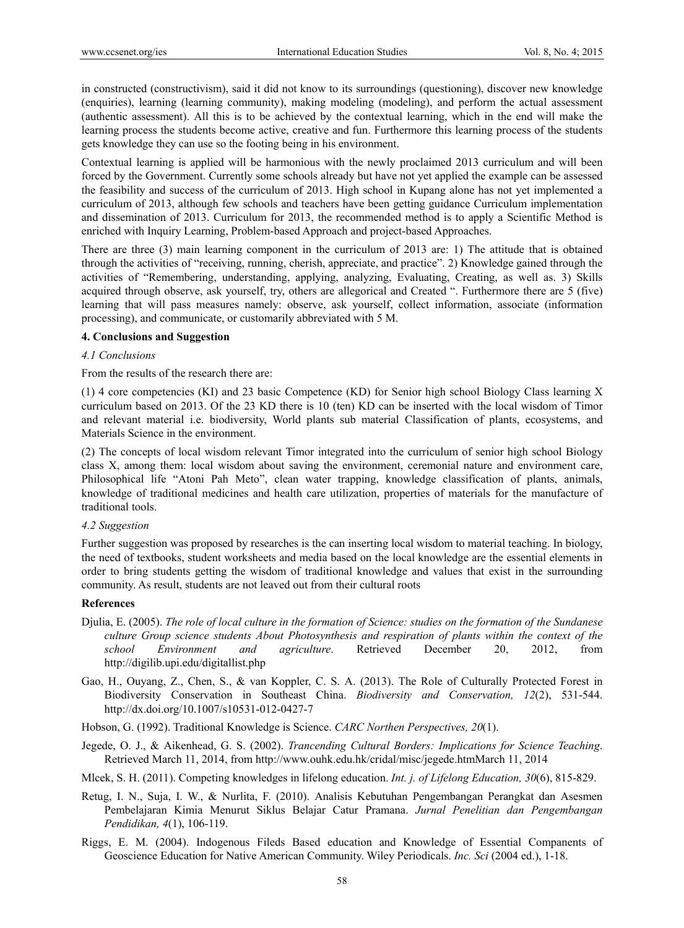in constructed (constructivism), said it did not know to its surroundings (questioning), discover new knowledge (enquiries), learning (learning community), making modeling (modeling), and perform the actual assessment (authentic assessment). All this is to be achieved by the contextual learning, which in the end will make the learning process the students become active, creative and fun. Furthermore this learning process of the students gets knowledge they can use so the footing being in his environment.

Contextual learning is applied will be harmonious with the newly proclaimed 2013 curriculum and will been forced by the Government. Currently some schools already but have not yet applied the example can be assessed the feasibility and success of the curriculum of 2013. High school in Kupang alone has not yet implemented a curriculum of 2013, although few schools and teachers have been getting guidance Curriculum implementation and dissemination of 2013. Curriculum for 2013, the recommended method is to apply a Scientific Method is enriched with Inquiry Learning, Problem-based Approach and project-based Approaches.

There are three (3) main learning component in the curriculum of 2013 are: 1) The attitude that is obtained through the activities of "receiving, running, cherish, appreciate, and practice". 2) Knowledge gained through the activities of "Remembering, understanding, applying, analyzing, Evaluating, Creating, as well as. 3) Skills acquired through observe, ask yourself, try, others are allegorical and Created ". Furthermore there are 5 (five) learning that will pass measures namely: observe, ask yourself, collect information, associate (information processing), and communicate, or customarily abbreviated with 5 M.

#### **4. Conclusions and Suggestion**

#### *4.1 Conclusions*

From the results of the research there are:

(1) 4 core competencies (KI) and 23 basic Competence (KD) for Senior high school Biology Class learning X curriculum based on 2013. Of the 23 KD there is 10 (ten) KD can be inserted with the local wisdom of Timor and relevant material i.e. biodiversity, World plants sub material Classification of plants, ecosystems, and Materials Science in the environment.

(2) The concepts of local wisdom relevant Timor integrated into the curriculum of senior high school Biology class X, among them: local wisdom about saving the environment, ceremonial nature and environment care, Philosophical life "Atoni Pah Meto", clean water trapping, knowledge classification of plants, animals, knowledge of traditional medicines and health care utilization, properties of materials for the manufacture of traditional tools.

#### *4.2 Suggestion*

Further suggestion was proposed by researches is the can inserting local wisdom to material teaching. In biology, the need of textbooks, student worksheets and media based on the local knowledge are the essential elements in order to bring students getting the wisdom of traditional knowledge and values that exist in the surrounding community. As result, students are not leaved out from their cultural roots

#### **References**

- Djulia, E. (2005). *The role of local culture in the formation of Science: studies on the formation of the Sundanese culture Group science students About Photosynthesis and respiration of plants within the context of the school Environment and agriculture*. Retrieved December 20, 2012, from http://digilib.upi.edu/digitallist.php
- Gao, H., Ouyang, Z., Chen, S., & van Koppler, C. S. A. (2013). The Role of Culturally Protected Forest in Biodiversity Conservation in Southeast China. *Biodiversity and Conservation, 12*(2), 531-544. http://dx.doi.org/10.1007/s10531-012-0427-7
- Hobson, G. (1992). Traditional Knowledge is Science. *CARC Northen Perspectives, 20*(1).
- Jegede, O. J., & Aikenhead, G. S. (2002). *Trancending Cultural Borders: Implications for Science Teaching*. Retrieved March 11, 2014, from http://www.ouhk.edu.hk/cridal/misc/jegede.htmMarch 11, 2014
- Mlcek, S. H. (2011). Competing knowledges in lifelong education. *Int. j. of Lifelong Education, 30*(6), 815-829.
- Retug, I. N., Suja, I. W., & Nurlita, F. (2010). Analisis Kebutuhan Pengembangan Perangkat dan Asesmen Pembelajaran Kimia Menurut Siklus Belajar Catur Pramana. *Jurnal Penelitian dan Pengembangan Pendidikan, 4*(1), 106-119.
- Riggs, E. M. (2004). Indogenous Fileds Based education and Knowledge of Essential Companents of Geoscience Education for Native American Community. Wiley Periodicals. *Inc. Sci* (2004 ed.), 1-18.